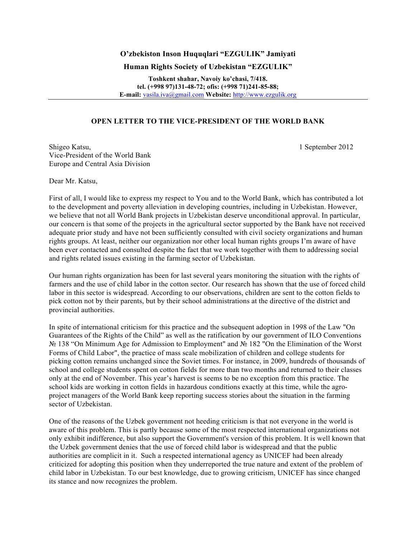## **O'zbekiston Inson Huquqlari "EZGULIK" Jamiyati**

## **Human Rights Society of Uzbekistan "EZGULIK"**

**Toshkent shahar, Navoiy ko'chasi, 7/418. tel. (+998 97)131-48-72; ofis: (+998 71)241-85-88; E-mail:** vasila.iva@gmail.com **Website:** http://www.ezgulik.org

## **OPEN LETTER TO THE VICE-PRESIDENT OF THE WORLD BANK**

Shigeo Katsu, 1 September 2012 Vice-President of the World Bank Europe and Central Asia Division

Dear Mr. Katsu,

First of all, I would like to express my respect to You and to the World Bank, which has contributed a lot to the development and poverty alleviation in developing countries, including in Uzbekistan. However, we believe that not all World Bank projects in Uzbekistan deserve unconditional approval. In particular, our concern is that some of the projects in the agricultural sector supported by the Bank have not received adequate prior study and have not been sufficiently consulted with civil society organizations and human rights groups. At least, neither our organization nor other local human rights groups I'm aware of have been ever contacted and consulted despite the fact that we work together with them to addressing social and rights related issues existing in the farming sector of Uzbekistan.

Our human rights organization has been for last several years monitoring the situation with the rights of farmers and the use of child labor in the cotton sector. Our research has shown that the use of forced child labor in this sector is widespread. According to our observations, children are sent to the cotton fields to pick cotton not by their parents, but by their school administrations at the directive of the district and provincial authorities.

In spite of international criticism for this practice and the subsequent adoption in 1998 of the Law "On Guarantees of the Rights of the Child" as well as the ratification by our government of ILO Conventions № 138 "On Minimum Age for Admission to Employment" and № 182 "On the Elimination of the Worst Forms of Child Labor", the practice of mass scale mobilization of children and college students for picking cotton remains unchanged since the Soviet times. For instance, in 2009, hundreds of thousands of school and college students spent on cotton fields for more than two months and returned to their classes only at the end of November. This year's harvest is seems to be no exception from this practice. The school kids are working in cotton fields in hazardous conditions exactly at this time, while the agroproject managers of the World Bank keep reporting success stories about the situation in the farming sector of Uzbekistan.

One of the reasons of the Uzbek government not heeding criticism is that not everyone in the world is aware of this problem. This is partly because some of the most respected international organizations not only exhibit indifference, but also support the Government's version of this problem. It is well known that the Uzbek government denies that the use of forced child labor is widespread and that the public authorities are complicit in it. Such a respected international agency as UNICEF had been already criticized for adopting this position when they underreported the true nature and extent of the problem of child labor in Uzbekistan. To our best knowledge, due to growing criticism, UNICEF has since changed its stance and now recognizes the problem.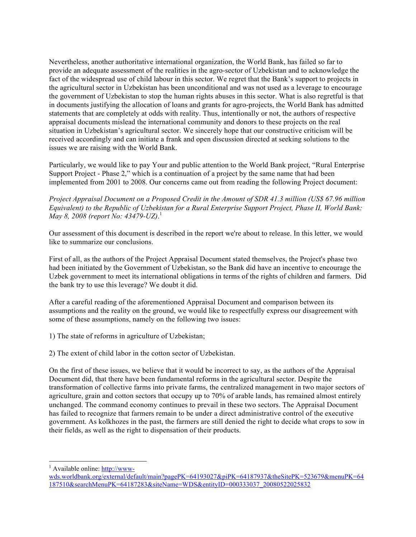Nevertheless, another authoritative international organization, the World Bank, has failed so far to provide an adequate assessment of the realities in the agro-sector of Uzbekistan and to acknowledge the fact of the widespread use of child labour in this sector. We regret that the Bank's support to projects in the agricultural sector in Uzbekistan has been unconditional and was not used as a leverage to encourage the government of Uzbekistan to stop the human rights abuses in this sector. What is also regretful is that in documents justifying the allocation of loans and grants for agro-projects, the World Bank has admitted statements that are completely at odds with reality. Thus, intentionally or not, the authors of respective appraisal documents mislead the international community and donors to these projects on the real situation in Uzbekistan's agricultural sector. We sincerely hope that our constructive criticism will be received accordingly and can initiate a frank and open discussion directed at seeking solutions to the issues we are raising with the World Bank.

Particularly, we would like to pay Your and public attention to the World Bank project, "Rural Enterprise Support Project - Phase 2," which is a continuation of a project by the same name that had been implemented from 2001 to 2008. Our concerns came out from reading the following Project document:

*Project Appraisal Document on a Proposed Credit in the Amount of SDR 41.3 million (US\$ 67.96 million Equivalent) to the Republic of Uzbekistan for a Rural Enterprise Support Project, Phase II, World Bank: May 8, 2008 (report No: 43479-UZ)*. 1

Our assessment of this document is described in the report we're about to release. In this letter, we would like to summarize our conclusions.

First of all, as the authors of the Project Appraisal Document stated themselves, the Project's phase two had been initiated by the Government of Uzbekistan, so the Bank did have an incentive to encourage the Uzbek government to meet its international obligations in terms of the rights of children and farmers. Did the bank try to use this leverage? We doubt it did.

After a careful reading of the aforementioned Appraisal Document and comparison between its assumptions and the reality on the ground, we would like to respectfully express our disagreement with some of these assumptions, namely on the following two issues:

1) The state of reforms in agriculture of Uzbekistan;

2) The extent of child labor in the cotton sector of Uzbekistan.

On the first of these issues, we believe that it would be incorrect to say, as the authors of the Appraisal Document did, that there have been fundamental reforms in the agricultural sector. Despite the transformation of collective farms into private farms, the centralized management in two major sectors of agriculture, grain and cotton sectors that occupy up to 70% of arable lands, has remained almost entirely unchanged. The command economy continues to prevail in these two sectors. The Appraisal Document has failed to recognize that farmers remain to be under a direct administrative control of the executive government. As kolkhozes in the past, the farmers are still denied the right to decide what crops to sow in their fields, as well as the right to dispensation of their products.

 $\frac{1}{1}$  $^{1}$  Available online: http://www-

wds.worldbank.org/external/default/main?pagePK=64193027&piPK=64187937&theSitePK=523679&menuPK=64 187510&searchMenuPK=64187283&siteName=WDS&entityID=000333037\_20080522025832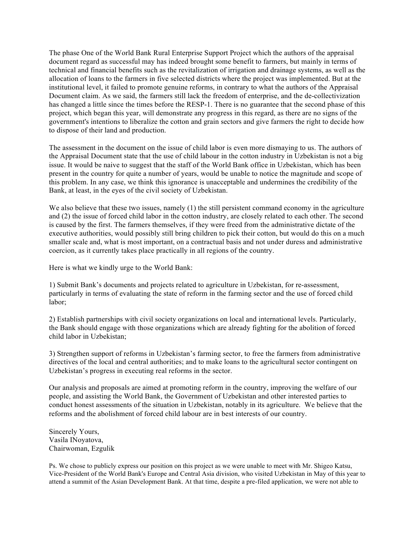The phase One of the World Bank Rural Enterprise Support Project which the authors of the appraisal document regard as successful may has indeed brought some benefit to farmers, but mainly in terms of technical and financial benefits such as the revitalization of irrigation and drainage systems, as well as the allocation of loans to the farmers in five selected districts where the project was implemented. But at the institutional level, it failed to promote genuine reforms, in contrary to what the authors of the Appraisal Document claim. As we said, the farmers still lack the freedom of enterprise, and the de-collectivization has changed a little since the times before the RESP-1. There is no guarantee that the second phase of this project, which began this year, will demonstrate any progress in this regard, as there are no signs of the government's intentions to liberalize the cotton and grain sectors and give farmers the right to decide how to dispose of their land and production.

The assessment in the document on the issue of child labor is even more dismaying to us. The authors of the Appraisal Document state that the use of child labour in the cotton industry in Uzbekistan is not a big issue. It would be naive to suggest that the staff of the World Bank office in Uzbekistan, which has been present in the country for quite a number of years, would be unable to notice the magnitude and scope of this problem. In any case, we think this ignorance is unacceptable and undermines the credibility of the Bank, at least, in the eyes of the civil society of Uzbekistan.

We also believe that these two issues, namely (1) the still persistent command economy in the agriculture and (2) the issue of forced child labor in the cotton industry, are closely related to each other. The second is caused by the first. The farmers themselves, if they were freed from the administrative dictate of the executive authorities, would possibly still bring children to pick their cotton, but would do this on a much smaller scale and, what is most important, on a contractual basis and not under duress and administrative coercion, as it currently takes place practically in all regions of the country.

Here is what we kindly urge to the World Bank:

1) Submit Bank's documents and projects related to agriculture in Uzbekistan, for re-assessment, particularly in terms of evaluating the state of reform in the farming sector and the use of forced child labor;

2) Establish partnerships with civil society organizations on local and international levels. Particularly, the Bank should engage with those organizations which are already fighting for the abolition of forced child labor in Uzbekistan;

3) Strengthen support of reforms in Uzbekistan's farming sector, to free the farmers from administrative directives of the local and central authorities; and to make loans to the agricultural sector contingent on Uzbekistan's progress in executing real reforms in the sector.

Our analysis and proposals are aimed at promoting reform in the country, improving the welfare of our people, and assisting the World Bank, the Government of Uzbekistan and other interested parties to conduct honest assessments of the situation in Uzbekistan, notably in its agriculture. We believe that the reforms and the abolishment of forced child labour are in best interests of our country.

Sincerely Yours, Vasila INoyatova, Chairwoman, Ezgulik

Ps. We chose to publicly express our position on this project as we were unable to meet with Mr. Shigeo Katsu, Vice-President of the World Bank's Europe and Central Asia division, who visited Uzbekistan in May of this year to attend a summit of the Asian Development Bank. At that time, despite a pre-filed application, we were not able to